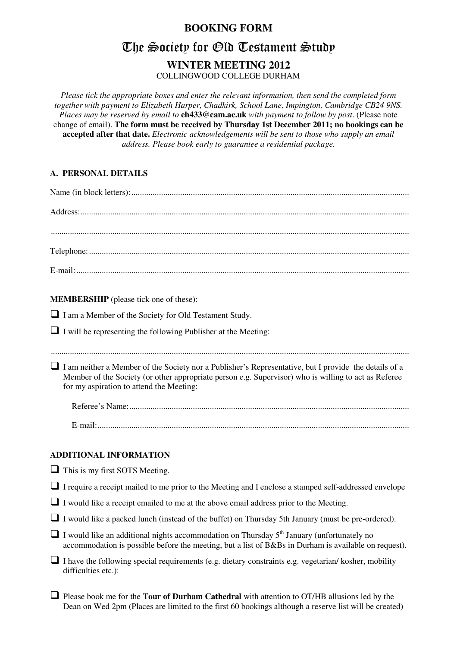### **BOOKING FORM**

# The Society for Old Testament Study

## **WINTER MEETING 2012**

COLLINGWOOD COLLEGE DURHAM

*Please tick the appropriate boxes and enter the relevant information, then send the completed form together with payment to Elizabeth Harper, Chadkirk, School Lane, Impington, Cambridge CB24 9NS. Places may be reserved by email to* **eh433@cam.ac.uk** *with payment to follow by post*. (Please note change of email). **The form must be received by Thursday 1st December 2011; no bookings can be accepted after that date.** *Electronic acknowledgements will be sent to those who supply an email address. Please book early to guarantee a residential package.* 

#### **A. PERSONAL DETAILS**

| <b>MEMBERSHIP</b> (please tick one of these):                                                                                                                                                                                                             |
|-----------------------------------------------------------------------------------------------------------------------------------------------------------------------------------------------------------------------------------------------------------|
| I am a Member of the Society for Old Testament Study.                                                                                                                                                                                                     |
| $\Box$ I will be representing the following Publisher at the Meeting:                                                                                                                                                                                     |
|                                                                                                                                                                                                                                                           |
| I am neither a Member of the Society nor a Publisher's Representative, but I provide the details of a<br>Member of the Society (or other appropriate person e.g. Supervisor) who is willing to act as Referee<br>for my aspiration to attend the Meeting: |
|                                                                                                                                                                                                                                                           |
|                                                                                                                                                                                                                                                           |
| <b>ADDITIONAL INFORMATION</b>                                                                                                                                                                                                                             |
| $\Box$ This is my first SOTS Meeting.                                                                                                                                                                                                                     |
| I require a receipt mailed to me prior to the Meeting and I enclose a stamped self-addressed envelope                                                                                                                                                     |
| $\Box$ I would like a receipt emailed to me at the above email address prior to the Meeting.                                                                                                                                                              |
| I would like a packed lunch (instead of the buffet) on Thursday 5th January (must be pre-ordered).                                                                                                                                                        |
| $\Box$ I would like an additional nights accommodation on Thursday 5 <sup>th</sup> January (unfortunately no<br>accommodation is possible before the meeting, but a list of B&Bs in Durham is available on request).                                      |
| I have the following special requirements (e.g. dietary constraints e.g. vegetarian/ kosher, mobility<br>difficulties etc.):                                                                                                                              |
|                                                                                                                                                                                                                                                           |

 Please book me for the **Tour of Durham Cathedral** with attention to OT/HB allusions led by the Dean on Wed 2pm (Places are limited to the first 60 bookings although a reserve list will be created)